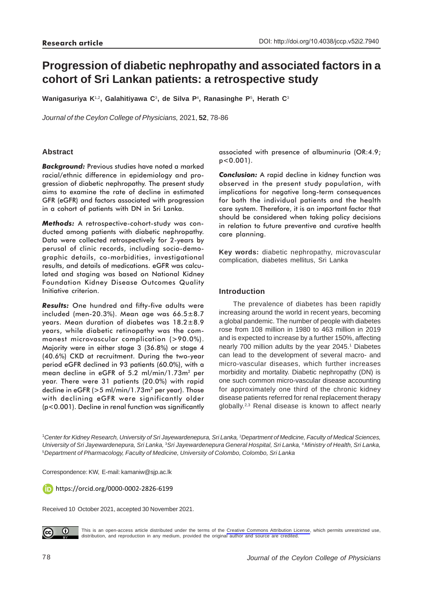# **Progression of diabetic nephropathy and associated factors in a cohort of Sri Lankan patients: a retrospective study**

**Wanigasuriya K**1,2**, Galahitiyawa C**3**, de Silva P**<sup>4</sup> **, Ranasinghe P**<sup>5</sup> **, Herath C**<sup>3</sup>

*Journal of the Ceylon College of Physicians,* 2021, **52**, 78-86

# **Abstract**

*Background:* Previous studies have noted a marked racial/ethnic difference in epidemiology and progression of diabetic nephropathy. The present study aims to examine the rate of decline in estimated GFR (eGFR) and factors associated with progression in a cohort of patients with DN in Sri Lanka.

*Methods:* A retrospective-cohort-study was conducted among patients with diabetic nephropathy. Data were collected retrospectively for 2-years by perusal of clinic records, including socio-demographic details, co-morbidities, investigational results, and details of medications. eGFR was calculated and staging was based on National Kidney Foundation Kidney Disease Outcomes Quality Initiative criterion.

*Results:* One hundred and fifty-five adults were included (men-20.3%). Mean age was  $66.5 \pm 8.7$ years. Mean duration of diabetes was 18.2±8.9 years, while diabetic retinopathy was the commonest microvascular complication (>90.0%). Majority were in either stage 3 (36.8%) or stage 4 (40.6%) CKD at recruitment. During the two-year period eGFR declined in 93 patients (60.0%), with a mean decline in eGFR of 5.2 ml/min/1.73m<sup>2</sup> per year. There were 31 patients (20.0%) with rapid decline in eGFR ( $>5$  ml/min/1.73m<sup>2</sup> per year). Those with declining eGFR were significantly older (p<0.001). Decline in renal function was significantly associated with presence of albuminuria (OR:4.9; p<0.001).

*Conclusion:* A rapid decline in kidney function was observed in the present study population, with implications for negative long-term consequences for both the individual patients and the health care system. Therefore, it is an important factor that should be considered when taking policy decisions in relation to future preventive and curative health care planning.

**Key words:** diabetic nephropathy, microvascular complication, diabetes mellitus, Sri Lanka

# **Introduction**

The prevalence of diabetes has been rapidly increasing around the world in recent years, becoming a global pandemic. The number of people with diabetes rose from 108 million in 1980 to 463 million in 2019 and is expected to increase by a further 150%, affecting nearly 700 million adults by the year 2045.<sup>1</sup> Diabetes can lead to the development of several macro- and micro-vascular diseases, which further increases morbidity and mortality. Diabetic nephropathy (DN) is one such common micro-vascular disease accounting for approximately one third of the chronic kidney disease patients referred for renal replacement therapy globally.2,3 Renal disease is known to affect nearly

<sup>1</sup> Center for Kidney Research, University of Sri Jayewardenepura, Sri Lanka, <sup>2</sup>Department of Medicine, Faculty of Medical Sciences, *University of Sri Jayewardenepura, Sri Lanka,* <sup>3</sup>*Sri Jayewardenepura General Hospital, Sri Lanka,* <sup>4</sup>*Ministry of Health, Sri Lanka,* <sup>5</sup>*Department of Pharmacology, Faculty of Medicine, University of Colombo, Colombo, Sri Lanka*

Correspondence: KW, E-mail: kamaniw@sjp.ac.lk

https://orcid.org/0000-0002-2826-6199

Received 10 October 2021, accepted 30 November 2021.



This is an open-access article distributed under the terms of the [Creative Commons Attribution License](https://creativecommons.org/licenses/by/4.0/legalcode), which permits unrestricted use, distribution, and reproduction in any medium, provided the original author and source are credited.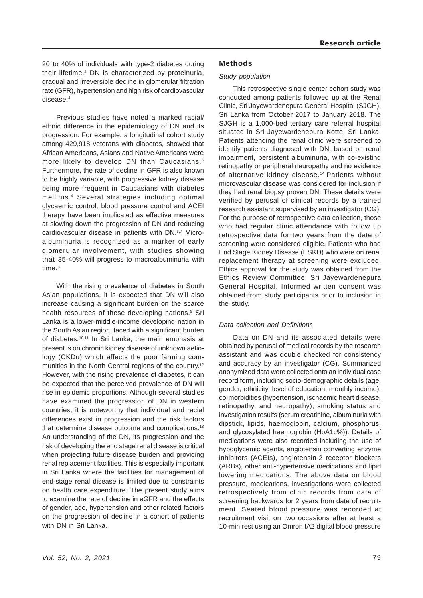20 to 40% of individuals with type-2 diabetes during their lifetime.4 DN is characterized by proteinuria, gradual and irreversible decline in glomerular filtration rate (GFR), hypertension and high risk of cardiovascular disease.4

Previous studies have noted a marked racial/ ethnic difference in the epidemiology of DN and its progression. For example, a longitudinal cohort study among 429,918 veterans with diabetes, showed that African Americans, Asians and Native Americans were more likely to develop DN than Caucasians.<sup>5</sup> Furthermore, the rate of decline in GFR is also known to be highly variable, with progressive kidney disease being more frequent in Caucasians with diabetes mellitus.4 Several strategies including optimal glycaemic control, blood pressure control and ACEI therapy have been implicated as effective measures at slowing down the progression of DN and reducing cardiovascular disease in patients with DN.6,7 Microalbuminuria is recognized as a marker of early glomerular involvement, with studies showing that 35-40% will progress to macroalbuminuria with time.<sup>8</sup>

With the rising prevalence of diabetes in South Asian populations, it is expected that DN will also increase causing a significant burden on the scarce health resources of these developing nations.<sup>9</sup> Sri Lanka is a lower-middle-income developing nation in the South Asian region, faced with a significant burden of diabetes.10,11 In Sri Lanka, the main emphasis at present is on chronic kidney disease of unknown aetiology (CKDu) which affects the poor farming communities in the North Central regions of the country.<sup>12</sup> However, with the rising prevalence of diabetes, it can be expected that the perceived prevalence of DN will rise in epidemic proportions. Although several studies have examined the progression of DN in western countries, it is noteworthy that individual and racial differences exist in progression and the risk factors that determine disease outcome and complications.<sup>13</sup> An understanding of the DN, its progression and the risk of developing the end stage renal disease is critical when projecting future disease burden and providing renal replacement facilities. This is especially important in Sri Lanka where the facilities for management of end-stage renal disease is limited due to constraints on health care expenditure. The present study aims to examine the rate of decline in eGFR and the effects of gender, age, hypertension and other related factors on the progression of decline in a cohort of patients with DN in Sri Lanka.

## **Methods**

#### *Study population*

This retrospective single center cohort study was conducted among patients followed up at the Renal Clinic, Sri Jayewardenepura General Hospital (SJGH), Sri Lanka from October 2017 to January 2018. The SJGH is a 1,000-bed tertiary care referral hospital situated in Sri Jayewardenepura Kotte, Sri Lanka. Patients attending the renal clinic were screened to identify patients diagnosed with DN, based on renal impairment, persistent albuminuria, with co-existing retinopathy or peripheral neuropathy and no evidence of alternative kidney disease.<sup>14</sup> Patients without microvascular disease was considered for inclusion if they had renal biopsy proven DN. These details were verified by perusal of clinical records by a trained research assistant supervised by an investigator (CG). For the purpose of retrospective data collection, those who had regular clinic attendance with follow up retrospective data for two years from the date of screening were considered eligible. Patients who had End Stage Kidney Disease (ESKD) who were on renal replacement therapy at screening were excluded. Ethics approval for the study was obtained from the Ethics Review Committee, Sri Jayewardenepura General Hospital. Informed written consent was obtained from study participants prior to inclusion in the study.

#### *Data collection and Definitions*

Data on DN and its associated details were obtained by perusal of medical records by the research assistant and was double checked for consistency and accuracy by an investigator (CG). Summarized anonymized data were collected onto an individual case record form, including socio-demographic details (age, gender, ethnicity, level of education, monthly income), co-morbidities (hypertension, ischaemic heart disease, retinopathy, and neuropathy), smoking status and investigation results (serum creatinine, albuminuria with dipstick, lipids, haemoglobin, calcium, phosphorus, and glycosylated haemoglobin (HbA1c%)). Details of medications were also recorded including the use of hypoglycemic agents, angiotensin converting enzyme inhibitors (ACEIs), angiotensin-2 receptor blockers (ARBs), other anti-hypertensive medications and lipid lowering medications. The above data on blood pressure, medications, investigations were collected retrospectively from clinic records from data of screening backwards for 2 years from date of recruitment. Seated blood pressure was recorded at recruitment visit on two occasions after at least a 10-min rest using an Omron IA2 digital blood pressure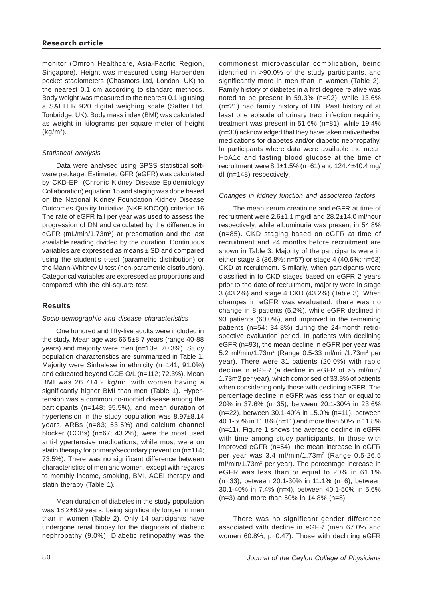## **Research article**

monitor (Omron Healthcare, Asia-Pacific Region, Singapore). Height was measured using Harpenden pocket stadiometers (Chasmors Ltd, London, UK) to the nearest 0.1 cm according to standard methods. Body weight was measured to the nearest 0.1 kg using a SALTER 920 digital weighing scale (Salter Ltd, Tonbridge, UK). Body mass index (BMI) was calculated as weight in kilograms per square meter of height  $(kg/m<sup>2</sup>)$ .

## *Statistical analysis*

Data were analysed using SPSS statistical software package. Estimated GFR (eGFR) was calculated by CKD-EPI (Chronic Kidney Disease Epidemiology Collaboration) equation.15 and staging was done based on the National Kidney Foundation Kidney Disease Outcomes Quality Initiative (NKF KDOQI) criterion.16 The rate of eGFR fall per year was used to assess the progression of DN and calculated by the difference in eGFR (mL/min/1.73m<sup>2</sup>) at presentation and the last available reading divided by the duration. Continuous variables are expressed as means ± SD and compared using the student's t-test (parametric distribution) or the Mann-Whitney U test (non-parametric distribution). Categorical variables are expressed as proportions and compared with the chi-square test.

# **Results**

## *Socio-demographic and disease characteristics*

One hundred and fifty-five adults were included in the study. Mean age was 66.5±8.7 years (range 40-88 years) and majority were men (n=109; 70.3%). Study population characteristics are summarized in Table 1. Majority were Sinhalese in ethnicity (n=141; 91.0%) and educated beyond GCE O/L (n=112; 72.3%). Mean BMI was  $26.7\pm4.2$  kg/m<sup>2</sup>, with women having a significantly higher BMI than men (Table 1). Hypertension was a common co-morbid disease among the participants (n=148; 95.5%), and mean duration of hypertension in the study population was 8.97±8.14 years. ARBs (n=83; 53.5%) and calcium channel blocker (CCBs) (n=67; 43.2%), were the most used anti-hypertensive medications, while most were on statin therapy for primary/secondary prevention (n=114; 73.5%). There was no significant difference between characteristics of men and women, except with regards to monthly income, smoking, BMI, ACEI therapy and statin therapy (Table 1).

Mean duration of diabetes in the study population was 18.2±8.9 years, being significantly longer in men than in women (Table 2). Only 14 participants have undergone renal biopsy for the diagnosis of diabetic nephropathy (9.0%). Diabetic retinopathy was the commonest microvascular complication, being identified in >90.0% of the study participants, and significantly more in men than in women (Table 2). Family history of diabetes in a first degree relative was noted to be present in 59.3% (n=92), while 13.6% (n=21) had family history of DN. Past history of at least one episode of urinary tract infection requiring treatment was present in 51.6% (n=81), while 19.4% (n=30) acknowledged that they have taken native/herbal medications for diabetes and/or diabetic nephropathy. In participants where data were available the mean HbA1c and fasting blood glucose at the time of recruitment were  $8.1 \pm 1.5\%$  (n=61) and  $124.4 \pm 40.4$  mg/ dl (n=148) respectively.

## *Changes in kidney function and associated factors*

The mean serum creatinine and eGFR at time of recruitment were 2.6±1.1 mg/dl and 28.2±14.0 ml/hour respectively, while albuminuria was present in 54.8% (n=85). CKD staging based on eGFR at time of recruitment and 24 months before recruitment are shown in Table 3. Majority of the participants were in either stage 3 (36.8%; n=57) or stage 4 (40.6%; n=63) CKD at recruitment. Similarly, when participants were classified in to CKD stages based on eGFR 2 years prior to the date of recruitment, majority were in stage 3 (43.2%) and stage 4 CKD (43.2%) (Table 3). When changes in eGFR was evaluated, there was no change in 8 patients (5.2%), while eGFR declined in 93 patients (60.0%), and improved in the remaining patients (n=54; 34.8%) during the 24-month retrospective evaluation period. In patients with declining eGFR (n=93), the mean decline in eGFR per year was 5.2 ml/min/1.73m<sup>2</sup> (Range 0.5-33 ml/min/1.73m<sup>2</sup> per year). There were 31 patients (20.0%) with rapid decline in eGFR (a decline in eGFR of >5 ml/min/ 1.73m2 per year), which comprised of 33.3% of patients when considering only those with declining eGFR. The percentage decline in eGFR was less than or equal to 20% in 37.6% (n=35), between 20.1-30% in 23.6% (n=22), between 30.1-40% in 15.0% (n=11), between 40.1-50% in 11.8% (n=11) and more than 50% in 11.8% (n=11). Figure 1 shows the average decline in eGFR with time among study participants. In those with improved eGFR (n=54), the mean increase in eGFR per year was 3.4 ml/min/1.73m2 (Range 0.5-26.5 ml/min/1.73m<sup>2</sup> per year). The percentage increase in eGFR was less than or equal to 20% in 61.1% (n=33), between 20.1-30% in 11.1% (n=6), between 30.1-40% in 7.4% (n=4), between 40.1-50% in 5.6% (n=3) and more than 50% in 14.8% (n=8).

There was no significant gender difference associated with decline in eGFR (men 67.0% and women 60.8%; p=0.47). Those with declining eGFR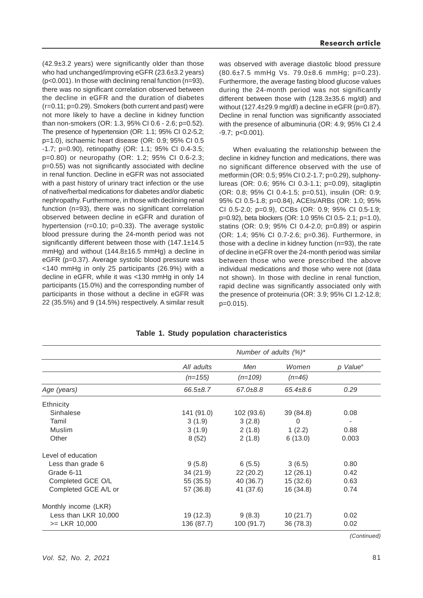(42.9±3.2 years) were significantly older than those who had unchanged/improving eGFR (23.6±3.2 years) (p<0.001). In those with declining renal function (n=93), there was no significant correlation observed between the decline in eGFR and the duration of diabetes (r=0.11; p=0.29). Smokers (both current and past) were not more likely to have a decline in kidney function than non-smokers (OR: 1.3, 95% CI 0.6 - 2.6; p=0.52). The presence of hypertension (OR: 1.1; 95% CI 0.2-5.2; p=1.0), ischaemic heart disease (OR: 0.9; 95% CI 0.5 -1.7; p=0.90), retinopathy (OR: 1.1; 95% CI 0.4-3.5; p=0.80) or neuropathy (OR: 1.2; 95% CI 0.6-2.3; p=0.55) was not significantly associated with decline in renal function. Decline in eGFR was not associated with a past history of urinary tract infection or the use of native/herbal medications for diabetes and/or diabetic nephropathy. Furthermore, in those with declining renal function (n=93), there was no significant correlation observed between decline in eGFR and duration of hypertension (r=0.10; p=0.33). The average systolic blood pressure during the 24-month period was not significantly different between those with (147.1±14.5) mmHg) and without (144.8±16.5 mmHg) a decline in eGFR (p=0.37). Average systolic blood pressure was <140 mmHg in only 25 participants (26.9%) with a decline in eGFR, while it was <130 mmHg in only 14 participants (15.0%) and the corresponding number of participants in those without a decline in eGFR was 22 (35.5%) and 9 (14.5%) respectively. A similar result was observed with average diastolic blood pressure (80.6±7.5 mmHg Vs. 79.0±8.6 mmHg; p=0.23). Furthermore, the average fasting blood glucose values during the 24-month period was not significantly different between those with (128.3±35.6 mg/dl) and without  $(127.4 \pm 29.9 \text{ mg/dl})$  a decline in eGFR  $(p=0.87)$ . Decline in renal function was significantly associated with the presence of albuminuria (OR: 4.9; 95% CI 2.4 -9.7; p<0.001).

When evaluating the relationship between the decline in kidney function and medications, there was no significant difference observed with the use of metformin (OR: 0.5; 95% CI 0.2-1.7; p=0.29), sulphonylureas (OR: 0.6; 95% CI 0.3-1.1; p=0.09), sitagliptin (OR: 0.8; 95% CI 0.4-1.5; p=0.51), insulin (OR: 0.9; 95% CI 0.5-1.8; p=0.84), ACEIs/ARBs (OR: 1.0; 95% CI 0.5-2.0; p=0.9), CCBs (OR: 0.9; 95% CI 0.5-1.9; p=0.92), beta blockers (OR: 1.0 95% CI 0.5- 2.1; p=1.0), statins (OR: 0.9; 95% CI 0.4-2.0; p=0.89) or aspirin (OR: 1.4; 95% CI 0.7-2.6; p=0.36). Furthermore, in those with a decline in kidney function (n=93), the rate of decline in eGFR over the 24-month period was similar between those who were prescribed the above individual medications and those who were not (data not shown). In those with decline in renal function, rapid decline was significantly associated only with the presence of proteinuria (OR: 3.9; 95% CI 1.2-12.8; p=0.015).

|                      | Number of adults $(%)^*$ |                |                |          |  |
|----------------------|--------------------------|----------------|----------------|----------|--|
|                      | All adults               | Men            | Women          | p Value# |  |
|                      | $(n=155)$                | $(n=109)$      | $(n=46)$       |          |  |
| Age (years)          | $66.5 \pm 8.7$           | $67.0 \pm 8.8$ | $65.4 \pm 8.6$ | 0.29     |  |
| <b>Ethnicity</b>     |                          |                |                |          |  |
| Sinhalese            | 141 (91.0)               | 102 (93.6)     | 39 (84.8)      | 0.08     |  |
| Tamil                | 3(1.9)                   | 3(2.8)         | $\Omega$       |          |  |
| Muslim               | 3(1.9)                   | 2(1.8)         | 1(2.2)         | 0.88     |  |
| Other                | 8(52)                    | 2(1.8)         | 6(13.0)        | 0.003    |  |
| Level of education   |                          |                |                |          |  |
| Less than grade 6    | 9(5.8)                   | 6(5.5)         | 3(6.5)         | 0.80     |  |
| Grade 6-11           | 34(21.9)                 | 22(20.2)       | 12(26.1)       | 0.42     |  |
| Completed GCE O/L    | 55 (35.5)                | 40 (36.7)      | 15(32.6)       | 0.63     |  |
| Completed GCE A/L or | 57 (36.8)                | 41 (37.6)      | 16 (34.8)      | 0.74     |  |
| Monthly income (LKR) |                          |                |                |          |  |
| Less than LKR 10,000 | 19 (12.3)                | 9(8.3)         | 10(21.7)       | 0.02     |  |
| $>=$ LKR 10,000      | 136 (87.7)               | 100 (91.7)     | 36(78.3)       | 0.02     |  |

**Table 1. Study population characteristics**

*(Continued)*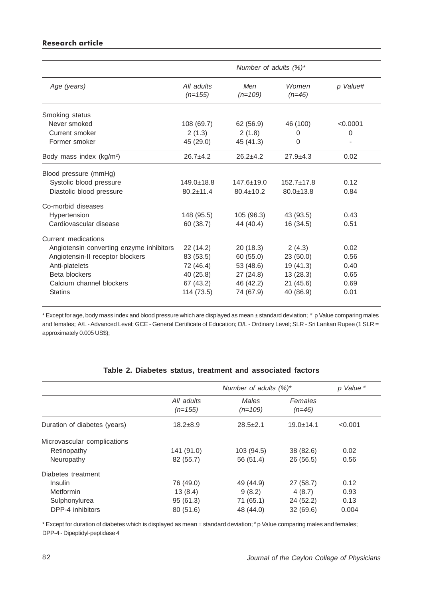# **Research article**

|                                          | Number of adults $(%)^*$ |                  |                   |          |  |
|------------------------------------------|--------------------------|------------------|-------------------|----------|--|
| Age (years)                              | All adults<br>$(n=155)$  | Men<br>$(n=109)$ | Women<br>$(n=46)$ | p Value# |  |
| Smoking status                           |                          |                  |                   |          |  |
| Never smoked                             | 108 (69.7)               | 62 (56.9)        | 46 (100)          | < 0.0001 |  |
| Current smoker                           | 2(1.3)                   | 2(1.8)           | $\Omega$          | $\Omega$ |  |
| Former smoker                            | 45 (29.0)                | 45 (41.3)        | 0                 |          |  |
| Body mass index (kg/m <sup>2</sup> )     | $26.7+4.2$               | $26.2+4.2$       | $27.9 + 4.3$      | 0.02     |  |
| Blood pressure (mmHg)                    |                          |                  |                   |          |  |
| Systolic blood pressure                  | $149.0 \pm 18.8$         | $147.6 \pm 19.0$ | $152.7 \pm 17.8$  | 0.12     |  |
| Diastolic blood pressure                 | $80.2 \pm 11.4$          | $80.4 \pm 10.2$  | $80.0 \pm 13.8$   | 0.84     |  |
| Co-morbid diseases                       |                          |                  |                   |          |  |
| Hypertension                             | 148 (95.5)               | 105 (96.3)       | 43 (93.5)         | 0.43     |  |
| Cardiovascular disease                   | 60 (38.7)                | 44 (40.4)        | 16 (34.5)         | 0.51     |  |
| Current medications                      |                          |                  |                   |          |  |
| Angiotensin converting enzyme inhibitors | 22 (14.2)                | 20(18.3)         | 2(4.3)            | 0.02     |  |
| Angiotensin-II receptor blockers         | 83 (53.5)                | 60(55.0)         | 23(50.0)          | 0.56     |  |
| Anti-platelets                           | 72 (46.4)                | 53 (48.6)        | 19 (41.3)         | 0.40     |  |
| Beta blockers                            | 40 (25.8)                | 27(24.8)         | 13(28.3)          | 0.65     |  |
| Calcium channel blockers                 | 67 (43.2)                | 46 (42.2)        | 21(45.6)          | 0.69     |  |
| <b>Statins</b>                           | 114 (73.5)               | 74 (67.9)        | 40 (86.9)         | 0.01     |  |

\* Except for age, body mass index and blood pressure which are displayed as mean ± standard deviation; # p Value comparing males and females; A/L - Advanced Level; GCE - General Certificate of Education; O/L - Ordinary Level; SLR - Sri Lankan Rupee (1 SLR = approximately 0.005 US\$);

|                              |                         | Number of adults $(%)^*$ | p Value <sup>#</sup> |         |
|------------------------------|-------------------------|--------------------------|----------------------|---------|
|                              | All adults<br>$(n=155)$ | Males<br>$(n=109)$       | Females<br>$(n=46)$  |         |
| Duration of diabetes (years) | $18.2 + 8.9$            | $28.5 \pm 2.1$           | $19.0 + 14.1$        | < 0.001 |
| Microvascular complications  |                         |                          |                      |         |
| Retinopathy                  | 141 (91.0)              | 103 (94.5)               | 38 (82.6)            | 0.02    |
| Neuropathy                   | 82 (55.7)               | 56 (51.4)                | 26 (56.5)            | 0.56    |
| Diabetes treatment           |                         |                          |                      |         |
| <b>Insulin</b>               | 76 (49.0)               | 49 (44.9)                | 27 (58.7)            | 0.12    |
| Metformin                    | 13(8.4)                 | 9(8.2)                   | 4(8.7)               | 0.93    |
| Sulphonylurea                | 95 (61.3)               | 71 (65.1)                | 24 (52.2)            | 0.13    |
| DPP-4 inhibitors             | 80(51.6)                | 48 (44.0)                | 32(69.6)             | 0.004   |

## **Table 2. Diabetes status, treatment and associated factors**

\* Except for duration of diabetes which is displayed as mean ±standard deviation; #p Value comparing males and females; DPP-4 - Dipeptidyl-peptidase 4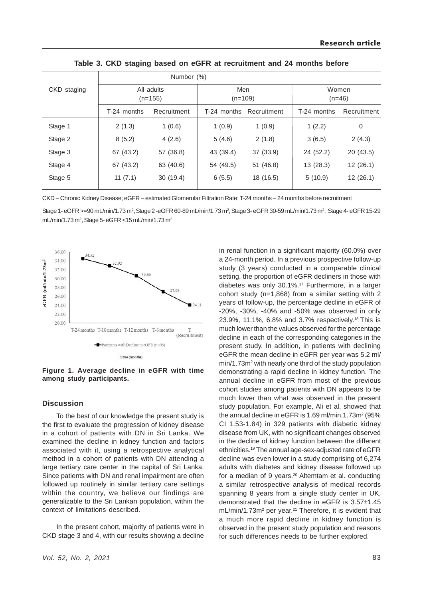|             | Number (%)              |             |                  |             |                   |             |
|-------------|-------------------------|-------------|------------------|-------------|-------------------|-------------|
| CKD staging | All adults<br>$(n=155)$ |             | Men<br>$(n=109)$ |             | Women<br>$(n=46)$ |             |
|             | T-24 months             | Recruitment | T-24 months      | Recruitment | T-24 months       | Recruitment |
| Stage 1     | 2(1.3)                  | 1(0.6)      | 1(0.9)           | 1(0.9)      | 1(2.2)            | 0           |
| Stage 2     | 8(5.2)                  | 4(2.6)      | 5(4.6)           | 2(1.8)      | 3(6.5)            | 2(4.3)      |
| Stage 3     | 67 (43.2)               | 57 (36.8)   | 43 (39.4)        | 37 (33.9)   | 24 (52.2)         | 20(43.5)    |
| Stage 4     | 67 (43.2)               | 63 (40.6)   | 54 (49.5)        | 51(46.8)    | 13 (28.3)         | 12(26.1)    |
| Stage 5     | 11(7.1)                 | 30(19.4)    | 6(5.5)           | 18 (16.5)   | 5(10.9)           | 12(26.1)    |
|             |                         |             |                  |             |                   |             |

**Table 3. CKD staging based on eGFR at recruitment and 24 months before**

CKD – Chronic Kidney Disease; eGFR – estimated Glomerular Filtration Rate; T-24 months – 24 months before recruitment

Stage 1- eGFR >=90 mL/min/1.73 m², Stage 2 -eGFR 60-89 mL/min/1.73 m², Stage 3- eGFR 30-59 mL/min/1.73 m², Stage 4- eGFR 15-29 mL/min/1.73 m<sup>2</sup>, Stage 5- eGFR <15 mL/min/1.73 m<sup>2</sup>



**Figure 1. Average decline in eGFR with time**

## **Discussion**

To the best of our knowledge the present study is the first to evaluate the progression of kidney disease in a cohort of patients with DN in Sri Lanka. We examined the decline in kidney function and factors associated with it, using a retrospective analytical method in a cohort of patients with DN attending a large tertiary care center in the capital of Sri Lanka. Since patients with DN and renal impairment are often followed up routinely in similar tertiary care settings within the country, we believe our findings are generalizable to the Sri Lankan population, within the context of limitations described.

In the present cohort, majority of patients were in CKD stage 3 and 4, with our results showing a decline

*Vol. 52, No. 2, 2021*

in renal function in a significant majority (60.0%) over a 24-month period. In a previous prospective follow-up study (3 years) conducted in a comparable clinical setting, the proportion of eGFR decliners in those with diabetes was only 30.1%.17 Furthermore, in a larger cohort study (n=1,868) from a similar setting with 2 years of follow-up, the percentage decline in eGFR of -20%, -30%, -40% and -50% was observed in only 23.9%, 11.1%, 6.8% and 3.7% respectively.18 This is much lower than the values observed for the percentage decline in each of the corresponding categories in the present study. In addition, in patients with declining eGFR the mean decline in eGFR per year was 5.2 ml/ min/1.73m<sup>2</sup> with nearly one third of the study population demonstrating a rapid decline in kidney function. The annual decline in eGFR from most of the previous cohort studies among patients with DN appears to be much lower than what was observed in the present study population. For example, Ali et al, showed that the annual decline in eGFR is 1.69 ml/min.1.73m $^2$  (95% CI 1.53-1.84) in 329 patients with diabetic kidney disease from UK, with no significant changes observed in the decline of kidney function between the different ethnicities.19 The annual age-sex-adjusted rate of eGFR decline was even lower in a study comprising of 6,274 adults with diabetes and kidney disease followed up for a median of 9 years.20 Altemtam et al. conducting a similar retrospective analysis of medical records spanning 8 years from a single study center in UK, demonstrated that the decline in eGFR is 3.57±1.45 mL/min/1.73m<sup>2</sup> per year.<sup>21</sup> Therefore, it is evident that a much more rapid decline in kidney function is observed in the present study population and reasons for such differences needs to be further explored.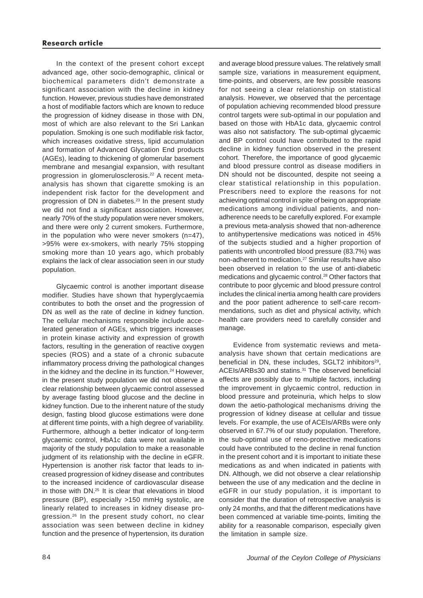In the context of the present cohort except advanced age, other socio-demographic, clinical or biochemical parameters didn't demonstrate a significant association with the decline in kidney function. However, previous studies have demonstrated a host of modifiable factors which are known to reduce the progression of kidney disease in those with DN, most of which are also relevant to the Sri Lankan population. Smoking is one such modifiable risk factor, which increases oxidative stress, lipid accumulation and formation of Advanced Glycation End products (AGEs), leading to thickening of glomerular basement membrane and mesangial expansion, with resultant progression in glomerulosclerosis.<sup>22</sup> A recent metaanalysis has shown that cigarette smoking is an independent risk factor for the development and progression of DN in diabetes.23 In the present study we did not find a significant association. However, nearly 70% of the study population were never smokers, and there were only 2 current smokers. Furthermore, in the population who were never smokers (n=47), >95% were ex-smokers, with nearly 75% stopping smoking more than 10 years ago, which probably explains the lack of clear association seen in our study population.

Glycaemic control is another important disease modifier. Studies have shown that hyperglycaemia contributes to both the onset and the progression of DN as well as the rate of decline in kidney function. The cellular mechanisms responsible include accelerated generation of AGEs, which triggers increases in protein kinase activity and expression of growth factors, resulting in the generation of reactive oxygen species (ROS) and a state of a chronic subacute inflammatory process driving the pathological changes in the kidney and the decline in its function.<sup>24</sup> However, in the present study population we did not observe a clear relationship between glycaemic control assessed by average fasting blood glucose and the decline in kidney function. Due to the inherent nature of the study design, fasting blood glucose estimations were done at different time points, with a high degree of variability. Furthermore, although a better indicator of long-term glycaemic control, HbA1c data were not available in majority of the study population to make a reasonable judgment of its relationship with the decline in eGFR. Hypertension is another risk factor that leads to increased progression of kidney disease and contributes to the increased incidence of cardiovascular disease in those with DN.25 It is clear that elevations in blood pressure (BP), especially >150 mmHg systolic, are linearly related to increases in kidney disease progression.26 In the present study cohort, no clear association was seen between decline in kidney function and the presence of hypertension, its duration

84

and average blood pressure values. The relatively small sample size, variations in measurement equipment, time-points, and observers, are few possible reasons for not seeing a clear relationship on statistical analysis. However, we observed that the percentage of population achieving recommended blood pressure control targets were sub-optimal in our population and based on those with HbA1c data, glycaemic control was also not satisfactory. The sub-optimal glycaemic and BP control could have contributed to the rapid decline in kidney function observed in the present cohort. Therefore, the importance of good glycaemic and blood pressure control as disease modifiers in DN should not be discounted, despite not seeing a clear statistical relationship in this population. Prescribers need to explore the reasons for not achieving optimal control in spite of being on appropriate medications among individual patients, and nonadherence needs to be carefully explored. For example a previous meta-analysis showed that non-adherence to antihypertensive medications was noticed in 45% of the subjects studied and a higher proportion of patients with uncontrolled blood pressure (83.7%) was non-adherent to medication.27 Similar results have also been observed in relation to the use of anti-diabetic medications and glycaemic control.28 Other factors that contribute to poor glycemic and blood pressure control includes the clinical inertia among health care providers and the poor patient adherence to self-care recommendations, such as diet and physical activity, which health care providers need to carefully consider and manage.

Evidence from systematic reviews and metaanalysis have shown that certain medications are beneficial in DN, these includes, SGLT2 inhibitors<sup>29</sup>, ACEIs/ARBs30 and statins.31 The observed beneficial effects are possibly due to multiple factors, including the improvement in glycaemic control, reduction in blood pressure and proteinuria, which helps to slow down the aetio-pathological mechanisms driving the progression of kidney disease at cellular and tissue levels. For example, the use of ACEIs/ARBs were only observed in 67.7% of our study population. Therefore, the sub-optimal use of reno-protective medications could have contributed to the decline in renal function in the present cohort and it is important to initiate these medications as and when indicated in patients with DN. Although, we did not observe a clear relationship between the use of any medication and the decline in eGFR in our study population, it is important to consider that the duration of retrospective analysis is only 24 months, and that the different medications have been commenced at variable time-points, limiting the ability for a reasonable comparison, especially given the limitation in sample size.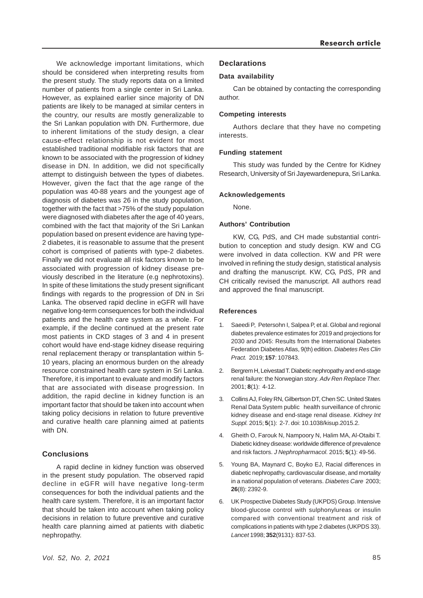We acknowledge important limitations, which should be considered when interpreting results from the present study. The study reports data on a limited number of patients from a single center in Sri Lanka. However, as explained earlier since majority of DN patients are likely to be managed at similar centers in the country, our results are mostly generalizable to the Sri Lankan population with DN. Furthermore, due to inherent limitations of the study design, a clear cause-effect relationship is not evident for most established traditional modifiable risk factors that are known to be associated with the progression of kidney disease in DN. In addition, we did not specifically attempt to distinguish between the types of diabetes. However, given the fact that the age range of the population was 40-88 years and the youngest age of diagnosis of diabetes was 26 in the study population, together with the fact that >75% of the study population were diagnosed with diabetes after the age of 40 years, combined with the fact that majority of the Sri Lankan population based on present evidence are having type-2 diabetes, it is reasonable to assume that the present cohort is comprised of patients with type-2 diabetes. Finally we did not evaluate all risk factors known to be associated with progression of kidney disease previously described in the literature (e.g nephrotoxins). In spite of these limitations the study present significant findings with regards to the progression of DN in Sri Lanka. The observed rapid decline in eGFR will have negative long-term consequences for both the individual patients and the health care system as a whole. For example, if the decline continued at the present rate most patients in CKD stages of 3 and 4 in present cohort would have end-stage kidney disease requiring renal replacement therapy or transplantation within 5- 10 years, placing an enormous burden on the already resource constrained health care system in Sri Lanka. Therefore, it is important to evaluate and modify factors that are associated with disease progression. In addition, the rapid decline in kidney function is an important factor that should be taken into account when taking policy decisions in relation to future preventive and curative health care planning aimed at patients with DN.

# **Conclusions**

A rapid decline in kidney function was observed in the present study population. The observed rapid decline in eGFR will have negative long-term consequences for both the individual patients and the health care system. Therefore, it is an important factor that should be taken into account when taking policy decisions in relation to future preventive and curative health care planning aimed at patients with diabetic nephropathy.

#### **Declarations**

#### **Data availability**

Can be obtained by contacting the corresponding author.

#### **Competing interests**

Authors declare that they have no competing interests.

#### **Funding statement**

This study was funded by the Centre for Kidney Research, University of Sri Jayewardenepura, Sri Lanka.

#### **Acknowledgements**

None.

#### **Authors' Contribution**

KW, CG, PdS, and CH made substantial contribution to conception and study design. KW and CG were involved in data collection. KW and PR were involved in refining the study design, statistical analysis and drafting the manuscript. KW, CG, PdS, PR and CH critically revised the manuscript. All authors read and approved the final manuscript.

#### **References**

- 1. Saeedi P, Petersohn I, Salpea P, et al. Global and regional diabetes prevalence estimates for 2019 and projections for 2030 and 2045: Results from the International Diabetes Federation Diabetes Atlas, 9(th) edition. *Diabetes Res Clin Pract.* 2019; **157**: 107843.
- 2. Bergrem H, Leivestad T. Diabetic nephropathy and end-stage renal failure: the Norwegian story. *Adv Ren Replace Ther.* 2001; **8**(1): 4-12.
- 3. Collins AJ, Foley RN, Gilbertson DT, Chen SC. United States Renal Data System public health surveillance of chronic kidney disease and end-stage renal disease. *Kidney Int Suppl.* 2015; **5**(1): 2-7. doi: 10.1038/kisup.2015.2.
- 4. Gheith O, Farouk N, Nampoory N, Halim MA, Al-Otaibi T. Diabetic kidney disease: worldwide difference of prevalence and risk factors. *J Nephropharmacol.* 2015; **5**(1): 49-56.
- 5. Young BA, Maynard C, Boyko EJ, Racial differences in diabetic nephropathy, cardiovascular disease, and mortality in a national population of veterans. *Diabetes Care* 2003; **26**(8): 2392-9.
- 6. UK Prospective Diabetes Study (UKPDS) Group. Intensive blood-glucose control with sulphonylureas or insulin compared with conventional treatment and risk of complications in patients with type 2 diabetes (UKPDS 33). *Lancet* 1998; **352**(9131): 837-53.